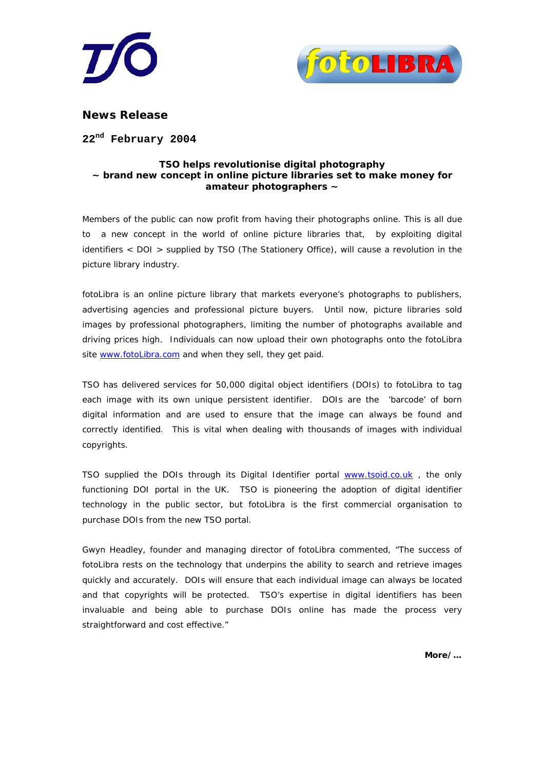



**News Release** 

**22nd February 2004** 

# **TSO helps revolutionise digital photography ~ brand new concept in online picture libraries set to make money for amateur photographers ~**

Members of the public can now profit from having their photographs online. This is all due to a new concept in the world of online picture libraries that, by exploiting digital identifiers < DOI > supplied by TSO (The Stationery Office), will cause a revolution in the picture library industry.

fotoLibra is an online picture library that markets everyone's photographs to publishers, advertising agencies and professional picture buyers. Until now, picture libraries sold images by professional photographers, limiting the number of photographs available and driving prices high. Individuals can now upload their own photographs onto the fotoLibra site [www.fotoLibra.com](http://www.fotolibra.com/) and when they sell, they get paid.

TSO has delivered services for 50,000 digital object identifiers (DOIs) to fotoLibra to tag each image with its own unique persistent identifier. DOIs are the 'barcode' of born digital information and are used to ensure that the image can always be found and correctly identified. This is vital when dealing with thousands of images with individual copyrights.

TSO supplied the DOIs through its Digital Identifier portal www.tsoid.co.uk, the only functioning DOI portal in the UK. TSO is pioneering the adoption of digital identifier technology in the public sector, but fotoLibra is the first commercial organisation to purchase DOIs from the new TSO portal.

Gwyn Headley, founder and managing director of fotoLibra commented, "The success of fotoLibra rests on the technology that underpins the ability to search and retrieve images quickly and accurately. DOIs will ensure that each individual image can always be located and that copyrights will be protected. TSO's expertise in digital identifiers has been invaluable and being able to purchase DOIs online has made the process very straightforward and cost effective."

**More/…**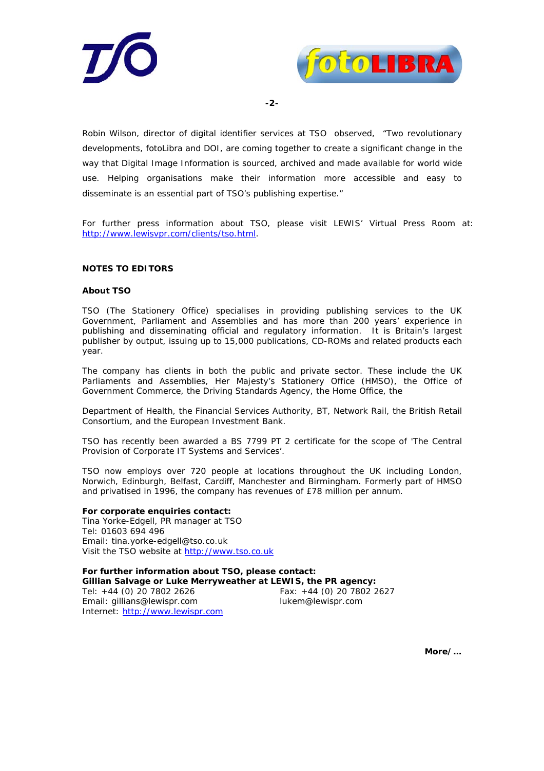



**-2-**

Robin Wilson, director of digital identifier services at TSO observed, "Two revolutionary developments, fotoLibra and DOI, are coming together to create a significant change in the way that Digital Image Information is sourced, archived and made available for world wide use. Helping organisations make their information more accessible and easy to disseminate is an essential part of TSO's publishing expertise."

For further press information about TSO, please visit LEWIS' Virtual Press Room at: [http://www.lewisvpr.com/clients/tso.html.](http://www.lewisvpr.com/clients/tso.html)

### **NOTES TO EDITORS**

#### **About TSO**

TSO (The Stationery Office) specialises in providing publishing services to the UK Government, Parliament and Assemblies and has more than 200 years' experience in publishing and disseminating official and regulatory information. It is Britain's largest publisher by output, issuing up to 15,000 publications, CD-ROMs and related products each year.

The company has clients in both the public and private sector. These include the UK Parliaments and Assemblies, Her Majesty's Stationery Office (HMSO), the Office of Government Commerce, the Driving Standards Agency, the Home Office, the

Department of Health, the Financial Services Authority, BT, Network Rail, the British Retail Consortium, and the European Investment Bank.

TSO has recently been awarded a BS 7799 PT 2 certificate for the scope of 'The Central Provision of Corporate IT Systems and Services'.

TSO now employs over 720 people at locations throughout the UK including London, Norwich, Edinburgh, Belfast, Cardiff, Manchester and Birmingham. Formerly part of HMSO and privatised in 1996, the company has revenues of £78 million per annum.

#### **For corporate enquiries contact:**

Tina Yorke-Edgell, PR manager at TSO Tel: 01603 694 496 Email: tina.yorke-edgell@tso.co.uk Visit the TSO website at [http://www.tso.co.uk](http://www.tso.co.uk/)

**For further information about TSO, please contact: Gillian Salvage or Luke Merryweather at LEWIS, the PR agency:**  Tel: +44 (0) 20 7802 2626 Fax: +44 (0) 20 7802 2627 Email: gillians@lewispr.com [lukem@lewispr.com](mailto:sallyo@lewispr.com)  Internet: [http://www.lewispr.com](http://www.lewispr.com/)

**More/…**